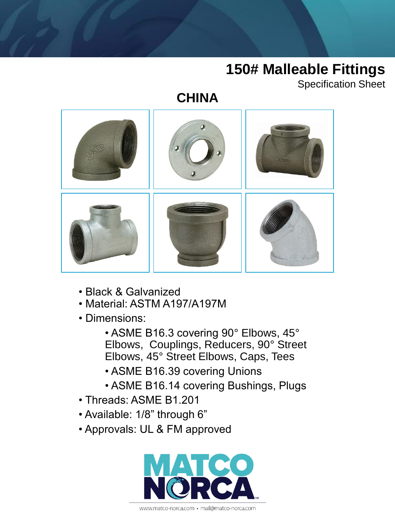# **150# Malleable Fittings**

Specification Sheet

# **CHINA**



- Black & Galvanized
- Material: ASTM A197/A197M
- Dimensions:
	- ASME B16.3 covering 90° Elbows, 45° Elbows, Couplings, Reducers, 90° Street Elbows, 45° Street Elbows, Caps, Tees
	- ASME B16.39 covering Unions
	- ASME B16.14 covering Bushings, Plugs
- Threads: ASME B1.201
- Available: 1/8" through 6"
- Approvals: UL & FM approved



www.matco-norca.com • mail@matco-norca.com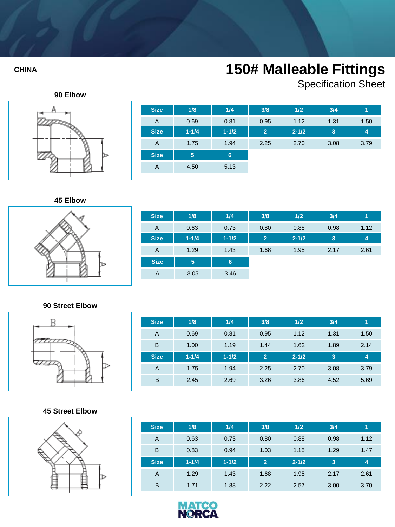Specification Sheet



| <b>Size</b>    | 1/8       | 1/4            | 3/8            | 1/2       | 3/4  | 1    |
|----------------|-----------|----------------|----------------|-----------|------|------|
| A              | 0.69      | 0.81           | 0.95           | 1.12      | 1.31 | 1.50 |
| <b>Size</b>    | $1 - 1/4$ | $1 - 1/2$      | $\overline{2}$ | $2 - 1/2$ | 3    | 4    |
| $\overline{A}$ | 1.75      | 1.94           | 2.25           | 2.70      | 3.08 | 3.79 |
| <b>Size</b>    | 5         | $6\phantom{1}$ |                |           |      |      |
| A              | 4.50      | 5.13           |                |           |      |      |

**45 Elbow**



| <b>Size</b> | 1/8       | 1/4            | 3/8            | 1/2       | 3/4  | 1    |
|-------------|-----------|----------------|----------------|-----------|------|------|
| A           | 0.63      | 0.73           | 0.80           | 0.88      | 0.98 | 1.12 |
| <b>Size</b> | $1 - 1/4$ | $1 - 1/2$      | $\overline{2}$ | $2 - 1/2$ | 3    | 4    |
| A           | 1.29      | 1.43           | 1.68           | 1.95      | 2.17 | 2.61 |
| <b>Size</b> | 5         | $6\phantom{1}$ |                |           |      |      |
| A           | 3.05      | 3.46           |                |           |      |      |

### **90 Street Elbow**



## **Size 1/8 1/4 3/8 1/2 3/4 1** A 0.69 0.81 0.95 1.12 1.31 1.50 B 1.00 1.19 1.44 1.62 1.89 2.14 **Size 1-1/4 1-1/2 2 2-1/2 3 4** A 1.75 1.94 2.25 2.70 3.08 3.79 B 2.45 2.69 3.26 3.86 4.52 5.69

### **45 Street Elbow**



| <b>Size</b> | 1/8       | 1/4       | 3/8            | 1/2       | 3/4  | 1    |
|-------------|-----------|-----------|----------------|-----------|------|------|
| A           | 0.63      | 0.73      | 0.80           | 0.88      | 0.98 | 1.12 |
| B           | 0.83      | 0.94      | 1.03           | 1.15      | 1.29 | 1.47 |
|             |           |           |                |           |      |      |
| <b>Size</b> | $1 - 1/4$ | $1 - 1/2$ | $\overline{2}$ | $2 - 1/2$ | 3    | 4    |
| A           | 1.29      | 1.43      | 1.68           | 1.95      | 2.17 | 2.61 |

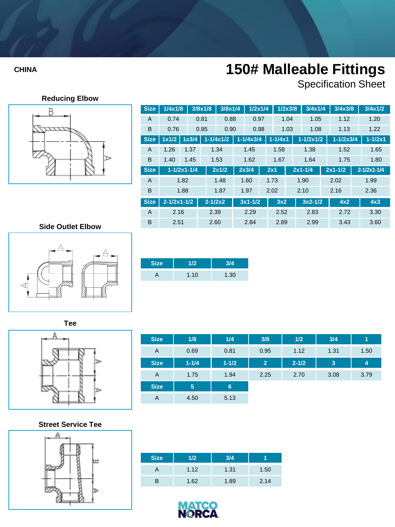Specification Sheet

## **Reducing Elbow**



| <b>Size</b>  | 1/4x1/8                  |                          | 3/8x1/8     | $3/8x$ 1/4           | $1/2x$ 1/4    |      | 1/2x3/8     | 3/4x1/4              | 3/4x3/8       | 3/4x1/2                  |
|--------------|--------------------------|--------------------------|-------------|----------------------|---------------|------|-------------|----------------------|---------------|--------------------------|
| A            | 0.74                     |                          | 0.81        | 0.88                 | 0.97          |      | 1.04        | 1.05                 | 1.12          | 1.20                     |
| B            | 0.76                     |                          | 0.85        | 0.90                 | 0.98          |      | 1.03        | 1.08                 | 1.13          | 1.22                     |
| <b>Size</b>  | 1x1/2                    | 1x3/4                    |             | $1 - 1/4 \times 1/2$ | $1 - 1/4x3/4$ |      | $1 - 1/4x1$ | $1 - 1/2 \times 1/2$ | $1 - 1/2x3/4$ | $1 - 1/2x1$              |
| $\mathsf{A}$ | 1.26                     | 1.37                     |             | 1.34                 | 1.45          |      | 1.58        | 1.38                 | 1.52          | 1.65                     |
| B            | 1.40                     | 1.45                     |             | 1.53                 | 1.62          |      | 1.67        | 1.64                 | 1.75          | 1.80                     |
| <b>Size</b>  |                          | $1 - 1/2 \times 1 - 1/4$ |             | 2x1/2                | 2x3/4         | 2x1  |             | $2x1 - 1/4$          | $2x1 - 1/2$   | $2 - 1/2 \times 1 - 1/4$ |
| A            |                          |                          |             |                      |               |      |             |                      |               |                          |
|              |                          | 1.82                     |             | 1.48                 | 1.60          | 1.73 |             | 1.90                 | 2.02          | 1.99                     |
| B            |                          | 1.88                     |             | 1.87                 | 1.97          | 2.02 |             | 2.10                 | 2.16          | 2.36                     |
| <b>Size</b>  | $2 - 1/2 \times 1 - 1/2$ |                          | $2 - 1/2x2$ |                      | $3x1-1/2$     |      | 3x2         | $3x2-1/2$            | 4x2           | 4x3                      |
| $\mathsf{A}$ | 2.16                     |                          | 2.39        |                      | 2.29          |      | 2.52        | 2.83                 | 2.72          | 3.30                     |

### **Side Outlet Elbow**



| <b>Size</b> | V2.  |      |
|-------------|------|------|
|             | 1.10 | 1.30 |



| <b>Size</b>    | 1/8       | 1/4       | 3/8            | 1/2       | 3/4  | 1    |
|----------------|-----------|-----------|----------------|-----------|------|------|
| A              | 0.69      | 0.81      | 0.95           | 1.12      | 1.31 | 1.50 |
| <b>Size</b>    | $1 - 1/4$ | $1 - 1/2$ | $\overline{2}$ | $2 - 1/2$ | 3    | 4    |
| $\overline{A}$ | 1.75      | 1.94      | 2.25           | 2.70      | 3.08 | 3.79 |
| <b>Size</b>    | 5         | 6         |                |           |      |      |
| A              | 4.50      | 5.13      |                |           |      |      |

## **Street Service Tee**



| <b>Size</b> | 1/2  | 3/4  |      |
|-------------|------|------|------|
|             | 1.12 | 1.31 | 1.50 |
| R           | 1.62 | 1.89 | 2.14 |

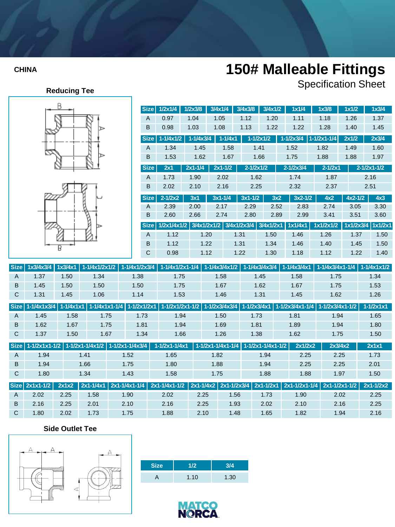Specification Sheet





B

| <b>Size</b> | $1/2x$ $1/4$         | 1/2x3/8                             | 3/4x1/4     | 3/4x3/8              | 3/4x1/2              | 1x1/4                | 1x3/8                    | 1x1/2     | 1x3/4                    |
|-------------|----------------------|-------------------------------------|-------------|----------------------|----------------------|----------------------|--------------------------|-----------|--------------------------|
| A           | 0.97                 | 1.04                                | 1.05        | 1.12                 | 1.20                 | 1.11                 | 1.18                     | 1.26      | 1.37                     |
| B           | 0.98                 | 1.03                                | 1.08        | 1.13                 | 1.22                 | 1.22                 | 1.28                     | 1.40      | 1.45                     |
| <b>Size</b> | $1 - 1/4 \times 1/2$ | $1 - 1/4x3/4$                       | $1 - 1/4x1$ |                      | $1 - 1/2 \times 1/2$ | $1 - 1/2x3/4$        | $1 - 1/2 \times 1 - 1/4$ | 2x1/2     | 2x3/4                    |
| A           | 1.34                 | 1.45                                | 1.58        |                      | 1.41                 | 1.52                 | 1.82                     | 1.49      | 1.60                     |
| B           | 1.53                 | 1.62                                | 1.67        |                      | 1.66                 | 1.75                 | 1.88                     | 1.88      | 1.97                     |
| <b>Size</b> | 2x1                  | $2x1-1/4$                           | $2x1 - 1/2$ | $2 - 1/2 \times 1/2$ |                      | $2 - 1/2 \times 3/4$ | $2 - 1/2x1$              |           | $2 - 1/2 \times 1 - 1/2$ |
| A           | 1.73                 | 1.90                                | 2.02        | 1.62                 |                      | 1.74                 | 1.87                     |           | 2.16                     |
| B           | 2.02                 | 2.10                                | 2.16        | 2.25                 |                      | 2.32                 | 2.37                     |           | 2.51                     |
| <b>Size</b> | $2 - 1/2x2$          | 3x1                                 | $3x1-1/4$   | $3x1 - 1/2$          | 3x2                  | $3x2-1/2$            | 4x2                      | $4x2-1/2$ | 4x3                      |
| A           | 2.39                 | 2.00                                | 2.17        | 2.29                 | 2.52                 | 2.83                 | 2.74                     | 3.05      | 3.30                     |
| B           | 2.60                 | 2.66                                | 2.74        | 2.80                 | 2.89                 | 2.99                 | 3.41                     | 3.51      | 3.60                     |
| Size        |                      | 1/2x1/4x1/2 3/4x1/2x1/2 3/4x1/2x3/4 |             |                      | 3/4x1/2x1            | 1x1/4x1              | 1x1/2x1/2                |           | 1x1/2x3/4 1x1/2x1        |
| A           | 1.12                 | 1.20                                |             | 1.31                 | 1.50                 | 1.46                 | 1.26                     | 1.37      | 1.50                     |
| B           | 1.12                 |                                     | 1.22        | 1.31                 | 1.34                 | 1.46                 | 1.40                     | 1.45      | 1.50                     |
| C           | 0.98                 |                                     | 1.12        | 1.22                 | 1.30                 | 1.18                 | 1.12                     | 1.22      | 1.40                     |

|                |      |      |      |      |      |      |      |      | Size 1x3/4x3/4 1x3/4x1 1-1/4x1/2x1/2 1-1/4x1/2x3/4 1-1/4x1/2x1-1/4 1-1/4x3/4x1/2 1-1/4x3/4x3/4 1-1/4x3/4x1 1-1/4x3/4x1-1/4 1-1/4x3/4x1x1/2 |      |
|----------------|------|------|------|------|------|------|------|------|--------------------------------------------------------------------------------------------------------------------------------------------|------|
| - A            | 1.37 | 1.50 | 1.34 | 1.38 | 1.75 | 1.58 | 1.45 | 1.58 | 1.75                                                                                                                                       | 1.34 |
| $\overline{B}$ | 1.45 | 1.50 | 1.50 | 1.50 | 1.75 | 1.67 | 1.62 | 1.67 | 1.75                                                                                                                                       | 1.53 |
|                | 1.31 | 1.45 | 1.06 | 1.14 | 1.53 | 1.46 | 1.31 | 1.45 | 1.62                                                                                                                                       | l.26 |

|                |                                              |                                                                                                                                                                                                                                                                                                                                    |                                                                                                                                                                                                                                                                                                                                    |      |                                                                                                                                                                                                                                                                                                                                                                                      |                   |                              |          | Size   1-1/4x1x3/4   1-1/4x1x1   1-1/4x1x1-1/4   1-1/2x1/2x1   1-1/2x1/2x1-1/2   1-1/2x3/4x3/4   1-1/2x3/4x1   1-1/2x3/4x1-1/4   1-1/2x3/4x1-1/2   1-1/2x3/4x1-1/2   1-1/2x1x1 |       |
|----------------|----------------------------------------------|------------------------------------------------------------------------------------------------------------------------------------------------------------------------------------------------------------------------------------------------------------------------------------------------------------------------------------|------------------------------------------------------------------------------------------------------------------------------------------------------------------------------------------------------------------------------------------------------------------------------------------------------------------------------------|------|--------------------------------------------------------------------------------------------------------------------------------------------------------------------------------------------------------------------------------------------------------------------------------------------------------------------------------------------------------------------------------------|-------------------|------------------------------|----------|--------------------------------------------------------------------------------------------------------------------------------------------------------------------------------|-------|
| $\overline{A}$ | 1.45                                         | 1.58                                                                                                                                                                                                                                                                                                                               | 1.75                                                                                                                                                                                                                                                                                                                               | 1.73 | 1.94                                                                                                                                                                                                                                                                                                                                                                                 | 1.50              | 1.73                         | 1.81     | 1.94                                                                                                                                                                           | 1.65  |
| B              | 1.62                                         | 1.67                                                                                                                                                                                                                                                                                                                               | 1.75                                                                                                                                                                                                                                                                                                                               | 1.81 | 1.94                                                                                                                                                                                                                                                                                                                                                                                 | 1.69              | 1.81                         | 1.89     | 1.94                                                                                                                                                                           | 1.80  |
| C.             | 1.37                                         | 1.50                                                                                                                                                                                                                                                                                                                               | 1.67                                                                                                                                                                                                                                                                                                                               | 1.34 | 1.66                                                                                                                                                                                                                                                                                                                                                                                 | 1.26              | 1.38                         | 1.62     | 1.75                                                                                                                                                                           | 1.50  |
|                |                                              |                                                                                                                                                                                                                                                                                                                                    |                                                                                                                                                                                                                                                                                                                                    |      | Size 1-1/2x1x1-1/2 1-1/2x1-1/4x1/2 1-1/2x1-1/4x3/4 1-1/2x1-1/4x1 1-1/2x1-1/4x1-1/4 1-1/2x1-1/4x1-1/4                                                                                                                                                                                                                                                                                 |                   |                              | 2x1/2x2  | 2x3/4x2                                                                                                                                                                        | 2x1x1 |
|                | $\overline{A}$ $\overline{A}$ $\overline{A}$ | $\overline{A}$ and $\overline{A}$ and $\overline{A}$ and $\overline{A}$ and $\overline{A}$ and $\overline{A}$ and $\overline{A}$ and $\overline{A}$ and $\overline{A}$ and $\overline{A}$ and $\overline{A}$ and $\overline{A}$ and $\overline{A}$ and $\overline{A}$ and $\overline{A}$ and $\overline{A}$ and $\overline{A}$ and | $\overline{A}$ and $\overline{A}$ and $\overline{A}$ and $\overline{A}$ and $\overline{A}$ and $\overline{A}$ and $\overline{A}$ and $\overline{A}$ and $\overline{A}$ and $\overline{A}$ and $\overline{A}$ and $\overline{A}$ and $\overline{A}$ and $\overline{A}$ and $\overline{A}$ and $\overline{A}$ and $\overline{A}$ and |      | $\overline{A}$ $\overline{C}$ $\overline{C}$ $\overline{C}$ $\overline{C}$ $\overline{C}$ $\overline{C}$ $\overline{C}$ $\overline{C}$ $\overline{C}$ $\overline{C}$ $\overline{C}$ $\overline{C}$ $\overline{C}$ $\overline{C}$ $\overline{C}$ $\overline{C}$ $\overline{C}$ $\overline{C}$ $\overline{C}$ $\overline{C}$ $\overline{C}$ $\overline{C}$ $\overline{C}$ $\overline{$ | $\overline{A}$ 00 | $\lambda$ $\Delta$ $\lambda$ | $\Omega$ | $\Omega$                                                                                                                                                                       | 170   |

|                | .80  | 1.34 | .43 | 1.58 | 1.75 | 1.88 | .88  | 1.97 | 1.50 |
|----------------|------|------|-----|------|------|------|------|------|------|
| B              | 1.94 | 1.66 |     | .80  | 1.88 | 1.94 | 2.25 | 2.25 | 2.01 |
| $\overline{A}$ | 1.94 | 1.41 | .52 | 1.65 | 1.82 | 1.94 | 2.25 | 2.25 | 1.73 |

|                |                |      |      |      | ISize  2x1x1-1/2     2x1x2     2x1-1/4x1   2x1-1/4x1-1/4    2x1-1/4x1-1/2     2x1-1/4x2   2x1-1/2x34   2x1-1/2x1   2x1-1/2x1-1/4   2x1-1/2x1-1/2     2x1-1/2x2 |      |      |      |      |      |      |
|----------------|----------------|------|------|------|----------------------------------------------------------------------------------------------------------------------------------------------------------------|------|------|------|------|------|------|
| $\overline{A}$ | 2.02           | 2.25 | .58  | .90  | 2.02                                                                                                                                                           | 2.25 | 1.56 |      | 1.90 | 2.02 | 2.25 |
| <b>B</b>       | $2.16^{\circ}$ | 2.25 | 2.01 | 2.10 | 2.16                                                                                                                                                           | 2.25 | 1.93 | 2.02 | 2.10 | 2.16 | 2.25 |
|                | .80            | 2.02 | 1.73 | 1.75 | 0.88 <sub>1</sub>                                                                                                                                              | 2.10 | 1.48 | .65  | 1.82 | 1.94 | 2.16 |

## **Side Outlet Tee**



| <b>Size</b> | 1/2  | 3/4  |
|-------------|------|------|
| Α           | 1.10 | 1.30 |

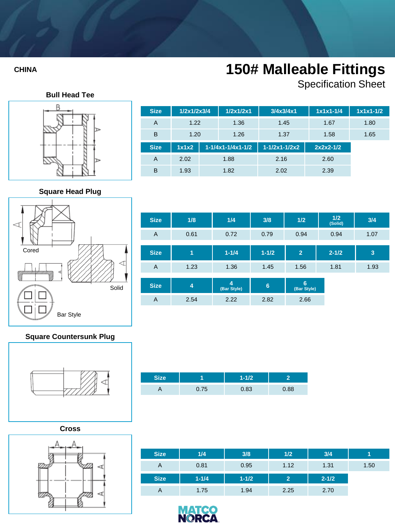Specification Sheet







## **Square Head Plug**



| <b>Size</b>    | 1/8            | 1/4              | 3/8            | 1/2              | 1/2<br>(Solid) | 3/4  |
|----------------|----------------|------------------|----------------|------------------|----------------|------|
| $\overline{A}$ | 0.61           | 0.72             | 0.79           | 0.94             | 0.94           | 1.07 |
| <b>Size</b>    | $\overline{1}$ | $1 - 1/4$        | $1 - 1/2$      | $\overline{2}$   | $2 - 1/2$      | 3    |
| $\overline{A}$ | 1.23           | 1.36             | 1.45           | 1.56             | 1.81           | 1.93 |
|                |                |                  |                |                  |                |      |
| <b>Size</b>    | $\overline{4}$ | 4<br>(Bar Style) | $6\phantom{1}$ | 6<br>(Bar Style) |                |      |
| A              | 2.54           | 2.22             | 2.82           | 2.66             |                |      |
|                |                |                  |                |                  |                |      |

## **Square Countersunk Plug**



**Size 1 1-1/2 2** A 0.75 0.83 0.88

**Cross**



| <b>Size</b> | 1/4       | 3/8       | 1/2            | 3/4       |      |
|-------------|-----------|-----------|----------------|-----------|------|
| A           | 0.81      | 0.95      | 1.12           | 1.31      | 1.50 |
| <b>Size</b> | $1 - 1/4$ | $1 - 1/2$ | $\overline{2}$ | $2 - 1/2$ |      |
| A           | 1.75      | 1.94      | 2.25           | 2.70      |      |

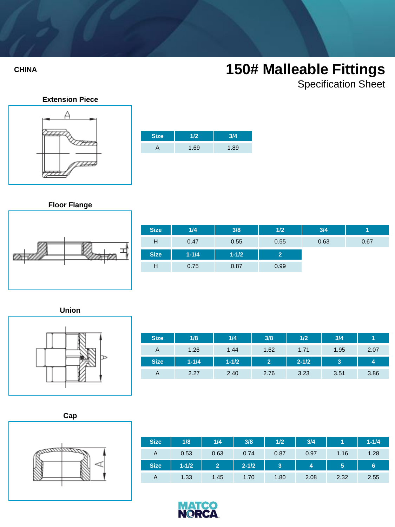Specification Sheet







**Floor Flange**



| <b>Size</b> | 1/4       | 3/8       | 1/2            | 3/4  |      |
|-------------|-----------|-----------|----------------|------|------|
| н           | 0.47      | 0.55      | 0.55           | 0.63 | 0.67 |
| <b>Size</b> | $1 - 1/4$ | $1 - 1/2$ | $\overline{2}$ |      |      |
| Н           | 0.75      | 0.87      | 0.99           |      |      |

**Union**



| <b>Size</b> | 1/8       | 1/4       | 3/8            | 1/2       | 3/4  |      |
|-------------|-----------|-----------|----------------|-----------|------|------|
| A           | 1.26      | 1.44      | 1.62           | 1.71      | 1.95 | 2.07 |
| <b>Size</b> | $1 - 1/4$ | $1 - 1/2$ | $\overline{2}$ | $2 - 1/2$ | 3    | 4    |
| A           | 2.27      | 2.40      | 2.76           | 3.23      | 3.51 | 3.86 |

**Cap**



| <b>Size</b> | 1/8       | 1/4            | 3/8       | 1/2  | 3/4  |      | $1 - 1/4$ |
|-------------|-----------|----------------|-----------|------|------|------|-----------|
| A           | 0.53      | 0.63           | 0.74      | 0.87 | 0.97 | 1.16 | 1.28      |
| <b>Size</b> | $1 - 1/2$ | $\overline{2}$ | $2 - 1/2$ | 3    | 4    | 5    | 6         |
| A           | 1.33      | 1.45           | 1.70      | 1.80 | 2.08 | 2.32 | 2.55      |

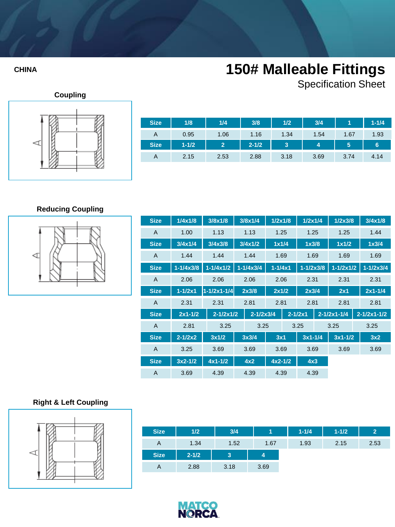Specification Sheet



| <b>Size</b> | 1/8       | 1/4            | 3/8       | 1/2  | 3/4  |      | $1 - 1/4$ |
|-------------|-----------|----------------|-----------|------|------|------|-----------|
| A           | 0.95      | 1.06           | 1.16      | 1.34 | 1.54 | 1.67 | 1.93      |
| <b>Size</b> | $1 - 1/2$ | $\overline{2}$ | $2 - 1/2$ | 3    | 4    | 5    | 6         |
| A           | 2.15      | 2.53           | 2.88      | 3.18 | 3.69 | 3.74 | 4.14      |

## **Reducing Coupling**



| <b>Size</b> | 1/4x1/8       | 3/8x1/8                  | 3/8x1/4       | 1/2x1/8     | $1/2x$ $1/4$  | 1/2x3/8              | 3/4x1/8           |
|-------------|---------------|--------------------------|---------------|-------------|---------------|----------------------|-------------------|
| A           | 1.00          | 1.13                     | 1.13          | 1.25        | 1.25          | 1.25                 | 1.44              |
| <b>Size</b> | 3/4x1/4       | 3/4x3/8                  | 3/4x1/2       | 1x1/4       | 1x3/8         | 1x1/2                | 1x3/4             |
| A           | 1.44          | 1.44                     | 1.44          | 1.69        | 1.69          | 1.69                 | 1.69              |
| <b>Size</b> | $1 - 1/4x3/8$ | $1 - 1/4 \times 1/2$     | $1 - 1/4x3/4$ | $1 - 1/4x1$ | $1 - 1/2x3/8$ | $1 - 1/2 \times 1/2$ | $1 - 1/2x3/4$     |
| A           | 2.06          | 2.06                     | 2.06          | 2.06        | 2.31          | 2.31                 | 2.31              |
| <b>Size</b> | $1 - 1/2x1$   | $1 - 1/2 \times 1 - 1/4$ | 2x3/8         | 2x1/2       | 2x3/4         | 2x1                  | $2x1 - 1/4$       |
| A           | 2.31          | 2.31                     | 2.81          | 2.81        | 2.81          | 2.81                 | 2.81              |
| <b>Size</b> | $2x1-1/2$     | $2 - 1/2 \times 1/2$     | $2 - 1/2x3/4$ |             | $2 - 1/2x1$   | $2 - 1/2x - 1/4$     | $2 - 1/2x1 - 1/2$ |
| A           | 2.81          | 3.25                     | 3.25          |             | 3.25          | 3.25                 | 3.25              |
| <b>Size</b> | $2 - 1/2x2$   | 3x1/2                    | 3x3/4         | 3x1         | $3x1 - 1/4$   | $3x1 - 1/2$          | 3x2               |
| A           | 3.25          | 3.69                     | 3.69          | 3.69        | 3.69          | 3.69                 | 3.69              |
| <b>Size</b> | $3x2-1/2$     | $4x1 - 1/2$              | 4x2           | $4x2-1/2$   | 4x3           |                      |                   |
| A           | 3.69          | 4.39                     | 4.39          | 4.39        | 4.39          |                      |                   |

## **Right & Left Coupling**



| <b>Size</b> | 1/2       | 3/4  |      | $1 - 1/4$ | $1 - 1/2$ | $\overline{2}$ |
|-------------|-----------|------|------|-----------|-----------|----------------|
| A           | 1.34      | 1.52 | 1.67 | 1.93      | 2.15      | 2.53           |
| <b>Size</b> | $2 - 1/2$ | 3    | 4    |           |           |                |
| A           | 2.88      | 3.18 | 3.69 |           |           |                |